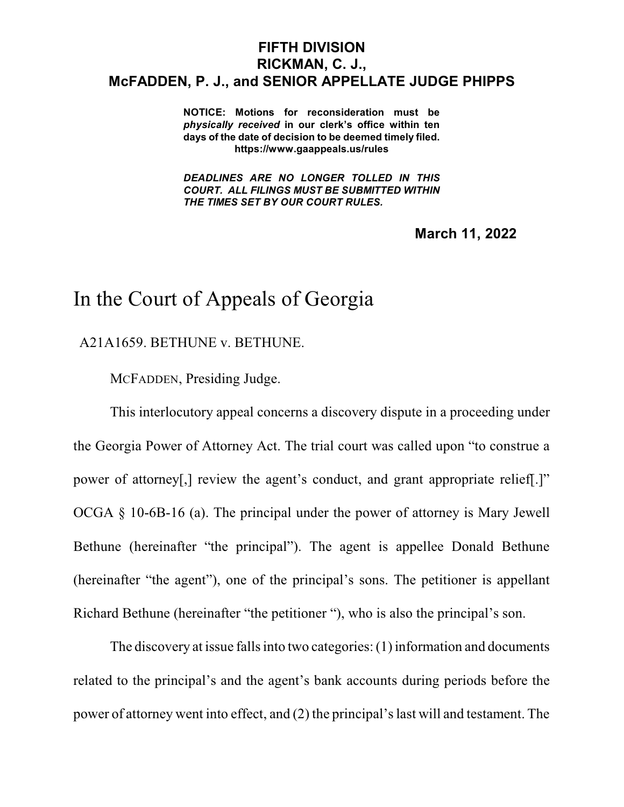## **FIFTH DIVISION RICKMAN, C. J., McFADDEN, P. J., and SENIOR APPELLATE JUDGE PHIPPS**

**NOTICE: Motions for reconsideration must be** *physically received* **in our clerk's office within ten days of the date of decision to be deemed timely filed. https://www.gaappeals.us/rules**

*DEADLINES ARE NO LONGER TOLLED IN THIS COURT. ALL FILINGS MUST BE SUBMITTED WITHIN THE TIMES SET BY OUR COURT RULES.*

**March 11, 2022**

## In the Court of Appeals of Georgia

A21A1659. BETHUNE v. BETHUNE.

MCFADDEN, Presiding Judge.

This interlocutory appeal concerns a discovery dispute in a proceeding under the Georgia Power of Attorney Act. The trial court was called upon "to construe a power of attorney[,] review the agent's conduct, and grant appropriate relief[.]" OCGA § 10-6B-16 (a). The principal under the power of attorney is Mary Jewell Bethune (hereinafter "the principal"). The agent is appellee Donald Bethune (hereinafter "the agent"), one of the principal's sons. The petitioner is appellant Richard Bethune (hereinafter "the petitioner "), who is also the principal's son.

The discovery at issue falls into two categories:  $(1)$  information and documents related to the principal's and the agent's bank accounts during periods before the power of attorney went into effect, and (2) the principal'slast will and testament. The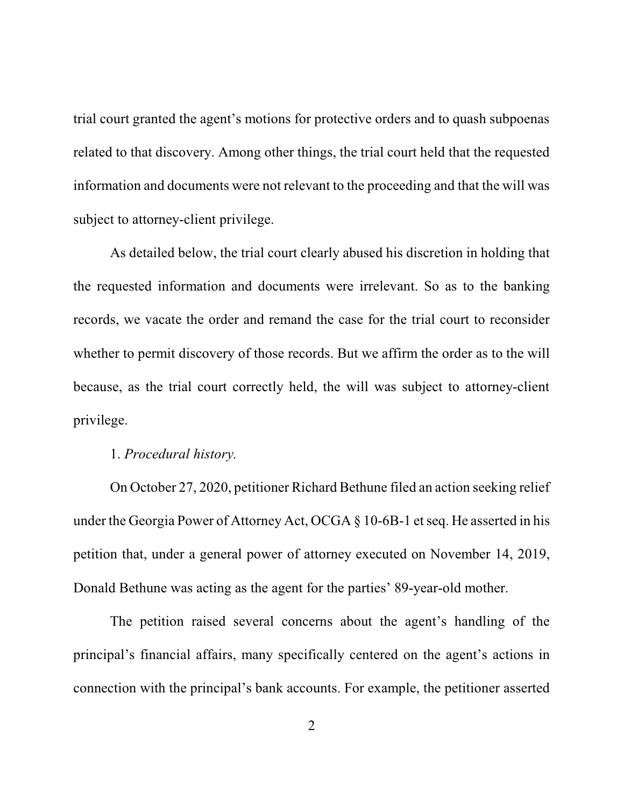trial court granted the agent's motions for protective orders and to quash subpoenas related to that discovery. Among other things, the trial court held that the requested information and documents were not relevant to the proceeding and that the will was subject to attorney-client privilege.

As detailed below, the trial court clearly abused his discretion in holding that the requested information and documents were irrelevant. So as to the banking records, we vacate the order and remand the case for the trial court to reconsider whether to permit discovery of those records. But we affirm the order as to the will because, as the trial court correctly held, the will was subject to attorney-client privilege.

## 1. *Procedural history.*

On October 27, 2020, petitioner Richard Bethune filed an action seeking relief under the Georgia Power of Attorney Act, OCGA  $\S$  10-6B-1 et seq. He asserted in his petition that, under a general power of attorney executed on November 14, 2019, Donald Bethune was acting as the agent for the parties' 89-year-old mother.

The petition raised several concerns about the agent's handling of the principal's financial affairs, many specifically centered on the agent's actions in connection with the principal's bank accounts. For example, the petitioner asserted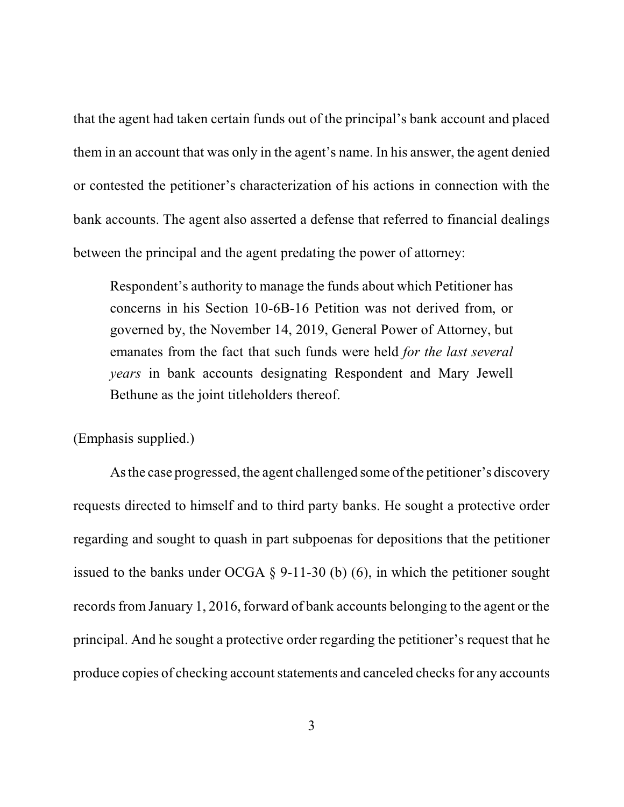that the agent had taken certain funds out of the principal's bank account and placed them in an account that was only in the agent's name. In his answer, the agent denied or contested the petitioner's characterization of his actions in connection with the bank accounts. The agent also asserted a defense that referred to financial dealings between the principal and the agent predating the power of attorney:

Respondent's authority to manage the funds about which Petitioner has concerns in his Section 10-6B-16 Petition was not derived from, or governed by, the November 14, 2019, General Power of Attorney, but emanates from the fact that such funds were held *for the last several years* in bank accounts designating Respondent and Mary Jewell Bethune as the joint titleholders thereof.

(Emphasis supplied.)

Asthe case progressed, the agent challenged some of the petitioner's discovery requests directed to himself and to third party banks. He sought a protective order regarding and sought to quash in part subpoenas for depositions that the petitioner issued to the banks under OCGA  $\S$  9-11-30 (b) (6), in which the petitioner sought records from January 1, 2016, forward of bank accounts belonging to the agent or the principal. And he sought a protective order regarding the petitioner's request that he produce copies of checking account statements and canceled checks for any accounts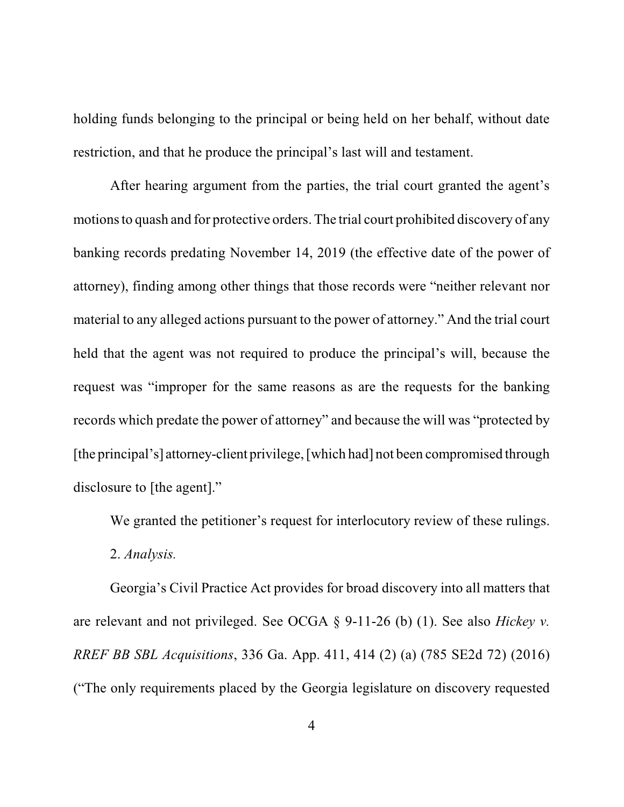holding funds belonging to the principal or being held on her behalf, without date restriction, and that he produce the principal's last will and testament.

After hearing argument from the parties, the trial court granted the agent's motions to quash and for protective orders. The trial court prohibited discovery of any banking records predating November 14, 2019 (the effective date of the power of attorney), finding among other things that those records were "neither relevant nor material to any alleged actions pursuant to the power of attorney." And the trial court held that the agent was not required to produce the principal's will, because the request was "improper for the same reasons as are the requests for the banking records which predate the power of attorney" and because the will was "protected by [the principal's] attorney-client privilege, [which had] not been compromised through disclosure to [the agent]."

We granted the petitioner's request for interlocutory review of these rulings.

2. *Analysis.*

Georgia's Civil Practice Act provides for broad discovery into all matters that are relevant and not privileged. See OCGA § 9-11-26 (b) (1). See also *Hickey v. RREF BB SBL Acquisitions*, 336 Ga. App. 411, 414 (2) (a) (785 SE2d 72) (2016) ("The only requirements placed by the Georgia legislature on discovery requested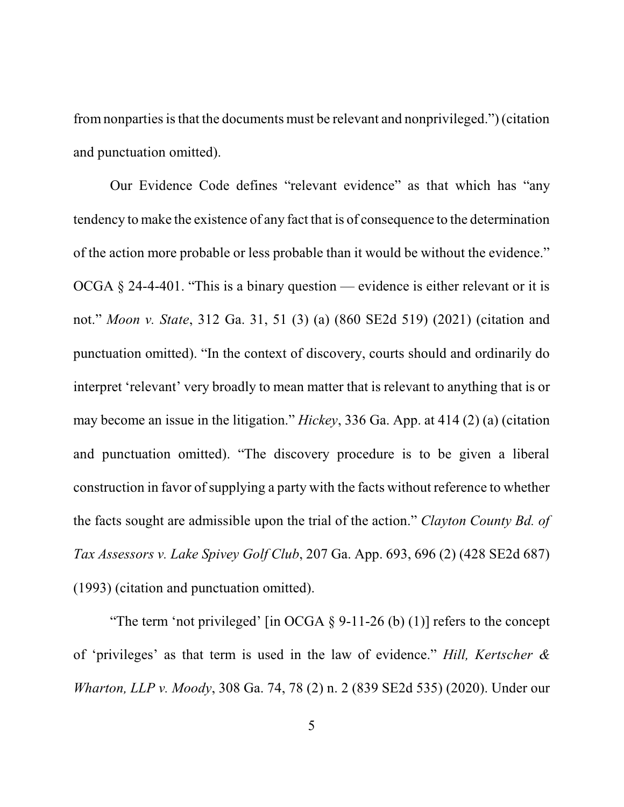from nonparties is that the documents must be relevant and nonprivileged.") (citation and punctuation omitted).

Our Evidence Code defines "relevant evidence" as that which has "any tendency to make the existence of any fact that is of consequence to the determination of the action more probable or less probable than it would be without the evidence." OCGA § 24-4-401. "This is a binary question — evidence is either relevant or it is not." *Moon v. State*, 312 Ga. 31, 51 (3) (a) (860 SE2d 519) (2021) (citation and punctuation omitted). "In the context of discovery, courts should and ordinarily do interpret 'relevant' very broadly to mean matter that is relevant to anything that is or may become an issue in the litigation." *Hickey*, 336 Ga. App. at 414 (2) (a) (citation and punctuation omitted). "The discovery procedure is to be given a liberal construction in favor of supplying a party with the facts without reference to whether the facts sought are admissible upon the trial of the action." *Clayton County Bd. of Tax Assessors v. Lake Spivey Golf Club*, 207 Ga. App. 693, 696 (2) (428 SE2d 687) (1993) (citation and punctuation omitted).

"The term 'not privileged' [in OCGA  $\S$  9-11-26 (b) (1)] refers to the concept of 'privileges' as that term is used in the law of evidence." *Hill, Kertscher & Wharton, LLP v. Moody*, 308 Ga. 74, 78 (2) n. 2 (839 SE2d 535) (2020). Under our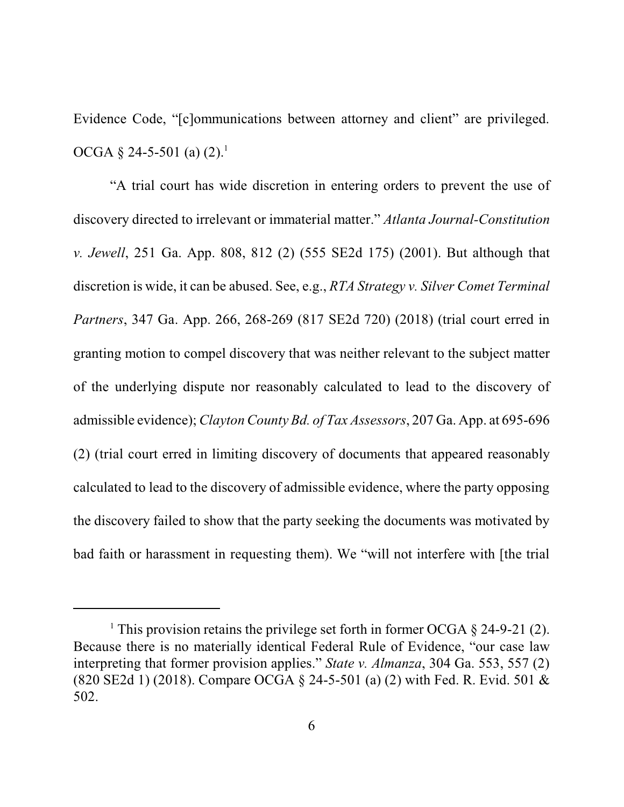Evidence Code, "[c]ommunications between attorney and client" are privileged. OCGA  $\S$  24-5-501 (a) (2).<sup>1</sup>

"A trial court has wide discretion in entering orders to prevent the use of discovery directed to irrelevant or immaterial matter." *Atlanta Journal-Constitution v. Jewell*, 251 Ga. App. 808, 812 (2) (555 SE2d 175) (2001). But although that discretion is wide, it can be abused. See, e.g., *RTA Strategy v. Silver Comet Terminal Partners*, 347 Ga. App. 266, 268-269 (817 SE2d 720) (2018) (trial court erred in granting motion to compel discovery that was neither relevant to the subject matter of the underlying dispute nor reasonably calculated to lead to the discovery of admissible evidence); *Clayton County Bd. of Tax Assessors*, 207 Ga. App. at 695-696 (2) (trial court erred in limiting discovery of documents that appeared reasonably calculated to lead to the discovery of admissible evidence, where the party opposing the discovery failed to show that the party seeking the documents was motivated by bad faith or harassment in requesting them). We "will not interfere with [the trial

<sup>&</sup>lt;sup>1</sup> This provision retains the privilege set forth in former OCGA  $\S$  24-9-21 (2). Because there is no materially identical Federal Rule of Evidence, "our case law interpreting that former provision applies." *State v. Almanza*, 304 Ga. 553, 557 (2) (820 SE2d 1) (2018). Compare OCGA § 24-5-501 (a) (2) with Fed. R. Evid. 501 & 502.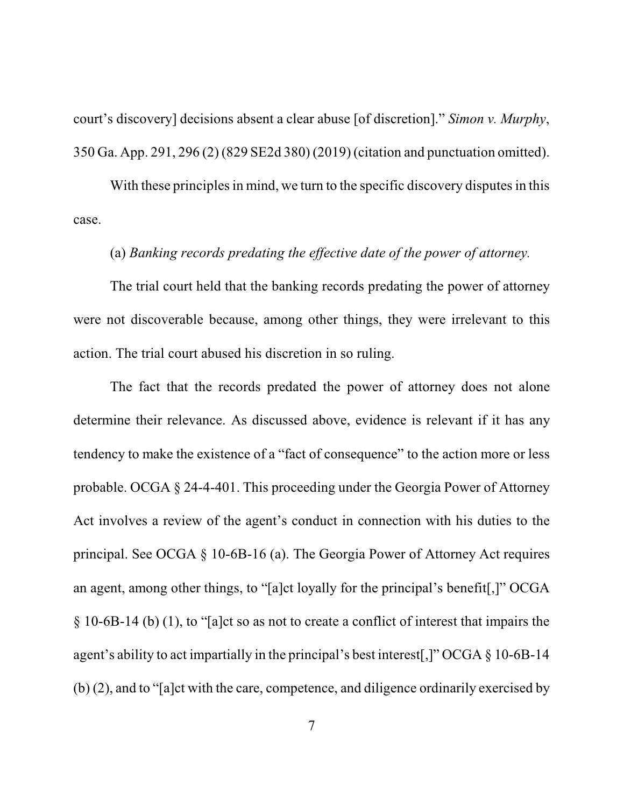court's discovery] decisions absent a clear abuse [of discretion]." *Simon v. Murphy*, 350 Ga. App. 291, 296 (2) (829 SE2d 380) (2019) (citation and punctuation omitted).

With these principles in mind, we turn to the specific discovery disputes in this case.

## (a) *Banking records predating the effective date of the power of attorney.*

The trial court held that the banking records predating the power of attorney were not discoverable because, among other things, they were irrelevant to this action. The trial court abused his discretion in so ruling.

The fact that the records predated the power of attorney does not alone determine their relevance. As discussed above, evidence is relevant if it has any tendency to make the existence of a "fact of consequence" to the action more or less probable. OCGA § 24-4-401. This proceeding under the Georgia Power of Attorney Act involves a review of the agent's conduct in connection with his duties to the principal. See OCGA § 10-6B-16 (a). The Georgia Power of Attorney Act requires an agent, among other things, to "[a]ct loyally for the principal's benefit[,]" OCGA § 10-6B-14 (b) (1), to "[a]ct so as not to create a conflict of interest that impairs the agent's ability to act impartially in the principal's best interest[,]" OCGA § 10-6B-14 (b) (2), and to "[a]ct with the care, competence, and diligence ordinarily exercised by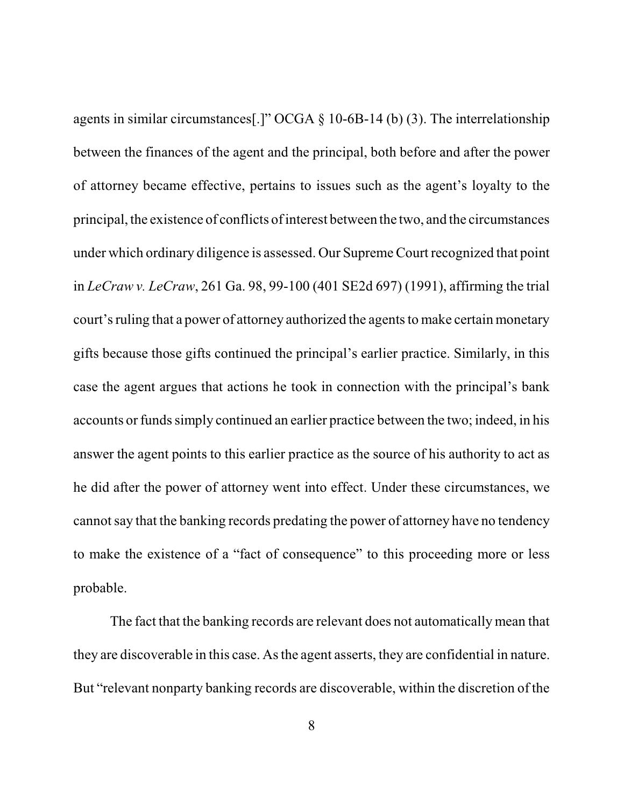agents in similar circumstances[.]" OCGA § 10-6B-14 (b) (3). The interrelationship between the finances of the agent and the principal, both before and after the power of attorney became effective, pertains to issues such as the agent's loyalty to the principal, the existence of conflicts of interest between the two, and the circumstances under which ordinary diligence is assessed. Our Supreme Court recognized that point in *LeCraw v. LeCraw*, 261 Ga. 98, 99-100 (401 SE2d 697) (1991), affirming the trial court's ruling that a power of attorney authorized the agents to make certain monetary gifts because those gifts continued the principal's earlier practice. Similarly, in this case the agent argues that actions he took in connection with the principal's bank accounts or funds simply continued an earlier practice between the two; indeed, in his answer the agent points to this earlier practice as the source of his authority to act as he did after the power of attorney went into effect. Under these circumstances, we cannotsay that the banking records predating the power of attorney have no tendency to make the existence of a "fact of consequence" to this proceeding more or less probable.

The fact that the banking records are relevant does not automatically mean that they are discoverable in this case. Asthe agent asserts, they are confidential in nature. But "relevant nonparty banking records are discoverable, within the discretion of the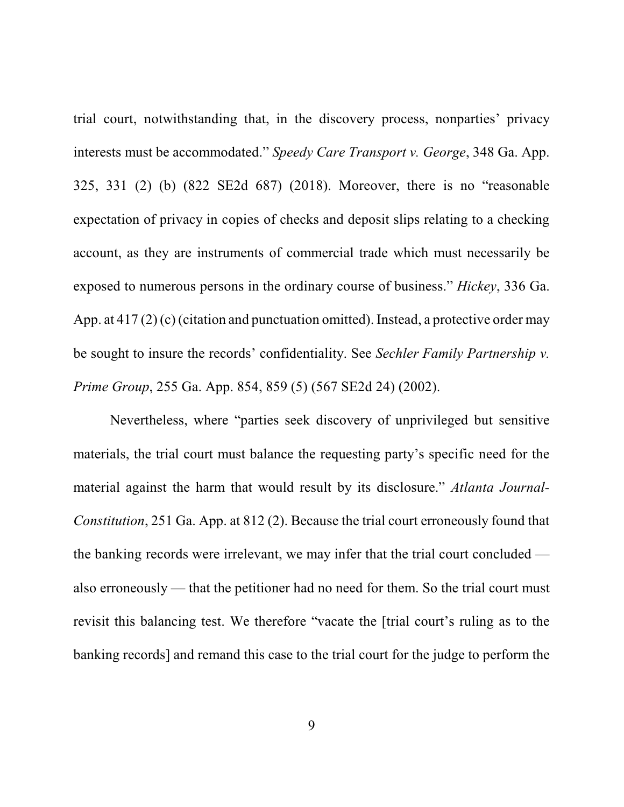trial court, notwithstanding that, in the discovery process, nonparties' privacy interests must be accommodated." *Speedy Care Transport v. George*, 348 Ga. App. 325, 331 (2) (b) (822 SE2d 687) (2018). Moreover, there is no "reasonable expectation of privacy in copies of checks and deposit slips relating to a checking account, as they are instruments of commercial trade which must necessarily be exposed to numerous persons in the ordinary course of business." *Hickey*, 336 Ga. App. at 417 (2) (c) (citation and punctuation omitted). Instead, a protective order may be sought to insure the records' confidentiality. See *Sechler Family Partnership v. Prime Group*, 255 Ga. App. 854, 859 (5) (567 SE2d 24) (2002).

Nevertheless, where "parties seek discovery of unprivileged but sensitive materials, the trial court must balance the requesting party's specific need for the material against the harm that would result by its disclosure." *Atlanta Journal-Constitution*, 251 Ga. App. at 812 (2). Because the trial court erroneously found that the banking records were irrelevant, we may infer that the trial court concluded also erroneously — that the petitioner had no need for them. So the trial court must revisit this balancing test. We therefore "vacate the [trial court's ruling as to the banking records] and remand this case to the trial court for the judge to perform the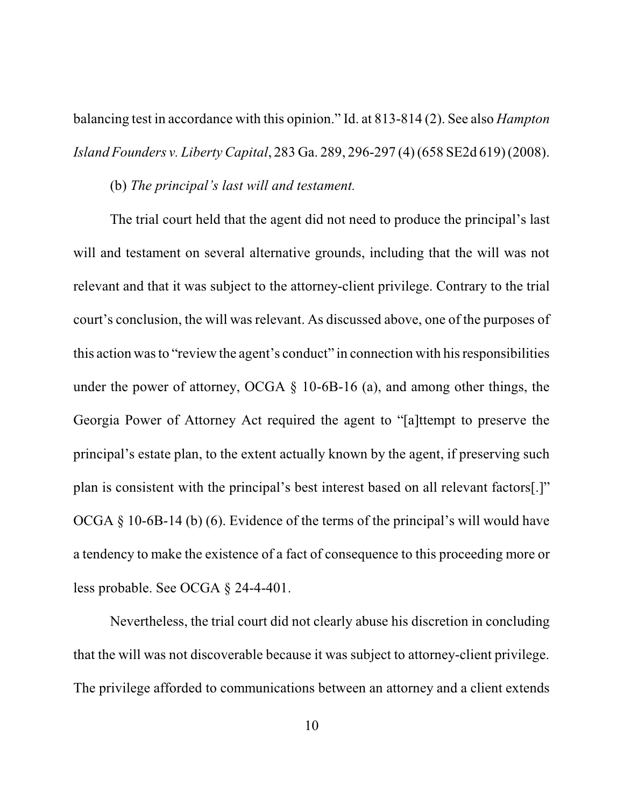balancing test in accordance with this opinion." Id. at 813-814 (2). See also *Hampton Island Founders v. Liberty Capital*, 283 Ga. 289, 296-297 (4) (658 SE2d 619) (2008).

(b) *The principal's last will and testament.*

The trial court held that the agent did not need to produce the principal's last will and testament on several alternative grounds, including that the will was not relevant and that it was subject to the attorney-client privilege. Contrary to the trial court's conclusion, the will was relevant. As discussed above, one of the purposes of this action wasto "review the agent's conduct" in connection with hisresponsibilities under the power of attorney, OCGA § 10-6B-16 (a), and among other things, the Georgia Power of Attorney Act required the agent to "[a]ttempt to preserve the principal's estate plan, to the extent actually known by the agent, if preserving such plan is consistent with the principal's best interest based on all relevant factors[.]" OCGA § 10-6B-14 (b) (6). Evidence of the terms of the principal's will would have a tendency to make the existence of a fact of consequence to this proceeding more or less probable. See OCGA § 24-4-401.

Nevertheless, the trial court did not clearly abuse his discretion in concluding that the will was not discoverable because it was subject to attorney-client privilege. The privilege afforded to communications between an attorney and a client extends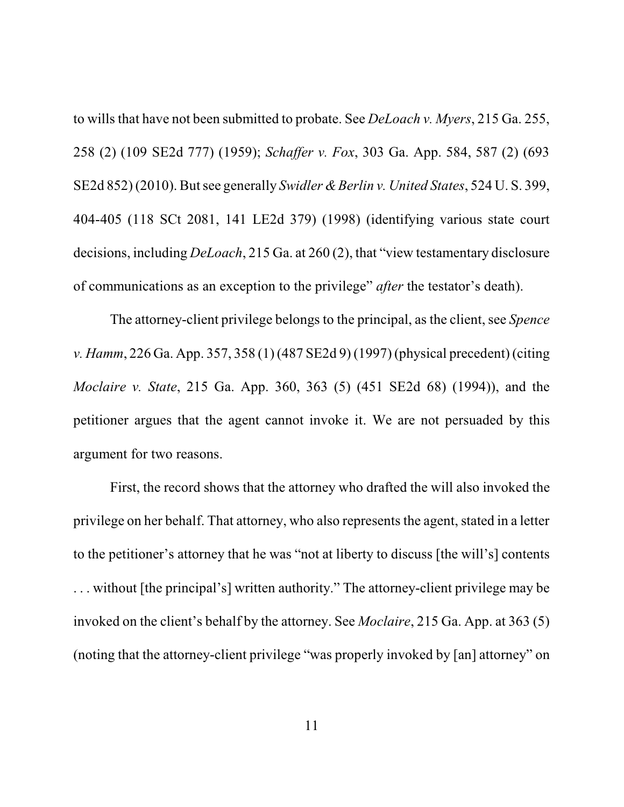to wills that have not been submitted to probate. See *DeLoach v. Myers*, 215 Ga. 255, 258 (2) (109 SE2d 777) (1959); *Schaffer v. Fox*, 303 Ga. App. 584, 587 (2) (693 SE2d 852) (2010). Butsee generally *Swidler &Berlin v. United States*, 524 U. S. 399, 404-405 (118 SCt 2081, 141 LE2d 379) (1998) (identifying various state court decisions, including *DeLoach*, 215 Ga. at 260 (2), that "view testamentary disclosure of communications as an exception to the privilege" *after* the testator's death).

The attorney-client privilege belongs to the principal, as the client, see *Spence v. Hamm*, 226 Ga. App. 357, 358 (1) (487 SE2d 9) (1997) (physical precedent) (citing *Moclaire v. State*, 215 Ga. App. 360, 363 (5) (451 SE2d 68) (1994)), and the petitioner argues that the agent cannot invoke it. We are not persuaded by this argument for two reasons.

First, the record shows that the attorney who drafted the will also invoked the privilege on her behalf. That attorney, who also represents the agent, stated in a letter to the petitioner's attorney that he was "not at liberty to discuss [the will's] contents . . . without [the principal's] written authority." The attorney-client privilege may be invoked on the client's behalf by the attorney. See *Moclaire*, 215 Ga. App. at 363 (5) (noting that the attorney-client privilege "was properly invoked by [an] attorney" on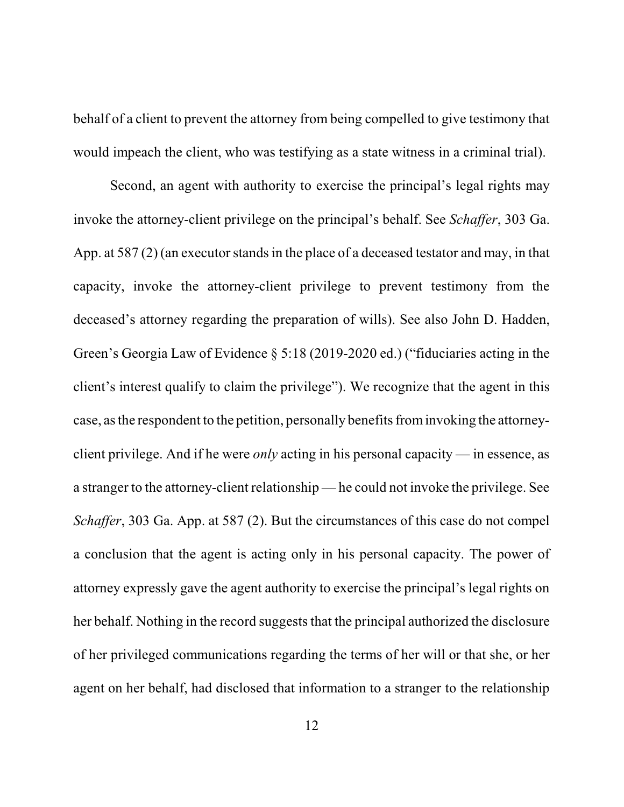behalf of a client to prevent the attorney from being compelled to give testimony that would impeach the client, who was testifying as a state witness in a criminal trial).

Second, an agent with authority to exercise the principal's legal rights may invoke the attorney-client privilege on the principal's behalf. See *Schaffer*, 303 Ga. App. at 587 (2) (an executor stands in the place of a deceased testator and may, in that capacity, invoke the attorney-client privilege to prevent testimony from the deceased's attorney regarding the preparation of wills). See also John D. Hadden, Green's Georgia Law of Evidence § 5:18 (2019-2020 ed.) ("fiduciaries acting in the client's interest qualify to claim the privilege"). We recognize that the agent in this case, as the respondent to the petition, personally benefits from invoking the attorneyclient privilege. And if he were *only* acting in his personal capacity — in essence, as a stranger to the attorney-client relationship — he could not invoke the privilege. See *Schaffer*, 303 Ga. App. at 587 (2). But the circumstances of this case do not compel a conclusion that the agent is acting only in his personal capacity. The power of attorney expressly gave the agent authority to exercise the principal's legal rights on her behalf. Nothing in the record suggests that the principal authorized the disclosure of her privileged communications regarding the terms of her will or that she, or her agent on her behalf, had disclosed that information to a stranger to the relationship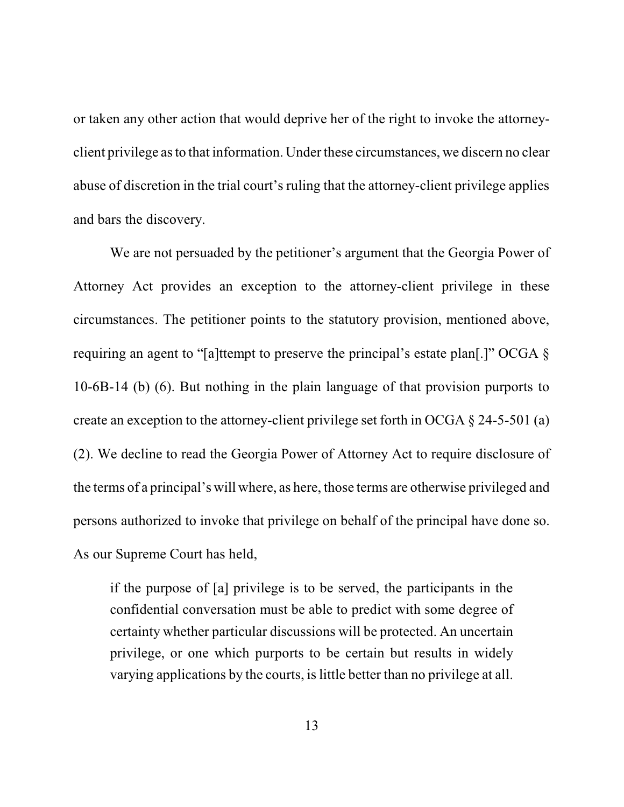or taken any other action that would deprive her of the right to invoke the attorneyclient privilege asto that information. Under these circumstances, we discern no clear abuse of discretion in the trial court's ruling that the attorney-client privilege applies and bars the discovery.

We are not persuaded by the petitioner's argument that the Georgia Power of Attorney Act provides an exception to the attorney-client privilege in these circumstances. The petitioner points to the statutory provision, mentioned above, requiring an agent to "[a]ttempt to preserve the principal's estate plan[.]" OCGA § 10-6B-14 (b) (6). But nothing in the plain language of that provision purports to create an exception to the attorney-client privilege set forth in OCGA  $\S$  24-5-501 (a) (2). We decline to read the Georgia Power of Attorney Act to require disclosure of the terms of a principal's will where, as here, those terms are otherwise privileged and persons authorized to invoke that privilege on behalf of the principal have done so. As our Supreme Court has held,

if the purpose of [a] privilege is to be served, the participants in the confidential conversation must be able to predict with some degree of certainty whether particular discussions will be protected. An uncertain privilege, or one which purports to be certain but results in widely varying applications by the courts, is little better than no privilege at all.